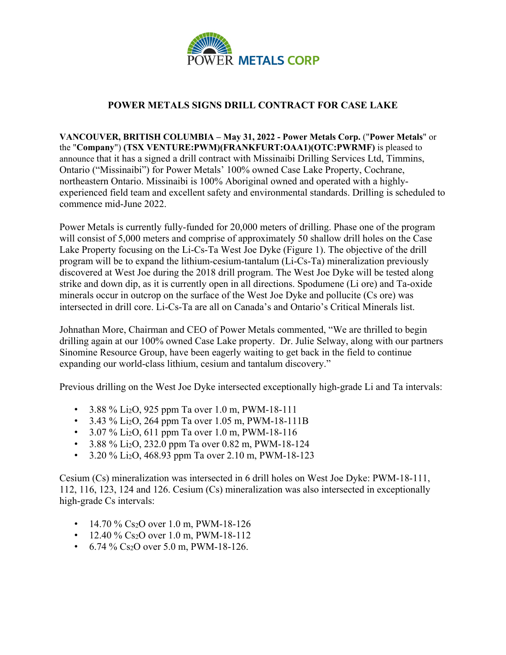

# **POWER METALS SIGNS DRILL CONTRACT FOR CASE LAKE**

**VANCOUVER, BRITISH COLUMBIA – May 31, 2022 - Power Metals Corp.** ("**Power Metals**" or the "**Company**") **(TSX VENTURE:PWM)(FRANKFURT:OAA1)(OTC:PWRMF)** is pleased to announce that it has a signed a drill contract with Missinaibi Drilling Services Ltd, Timmins, Ontario ("Missinaibi") for Power Metals' 100% owned Case Lake Property, Cochrane, northeastern Ontario. Missinaibi is 100% Aboriginal owned and operated with a highlyexperienced field team and excellent safety and environmental standards. Drilling is scheduled to commence mid-June 2022.

Power Metals is currently fully-funded for 20,000 meters of drilling. Phase one of the program will consist of 5,000 meters and comprise of approximately 50 shallow drill holes on the Case Lake Property focusing on the Li-Cs-Ta West Joe Dyke (Figure 1). The objective of the drill program will be to expand the lithium-cesium-tantalum (Li-Cs-Ta) mineralization previously discovered at West Joe during the 2018 drill program. The West Joe Dyke will be tested along strike and down dip, as it is currently open in all directions. Spodumene (Li ore) and Ta-oxide minerals occur in outcrop on the surface of the West Joe Dyke and pollucite (Cs ore) was intersected in drill core. Li-Cs-Ta are all on Canada's and Ontario's Critical Minerals list.

Johnathan More, Chairman and CEO of Power Metals commented, "We are thrilled to begin drilling again at our 100% owned Case Lake property. Dr. Julie Selway, along with our partners Sinomine Resource Group, have been eagerly waiting to get back in the field to continue expanding our world-class lithium, cesium and tantalum discovery."

Previous drilling on the West Joe Dyke intersected exceptionally high-grade Li and Ta intervals:

- $3.88\%$  Li<sub>2</sub>O, 925 ppm Ta over 1.0 m, PWM-18-111
- 3.43 % Li<sub>2</sub>O, 264 ppm Ta over 1.05 m, PWM-18-111B
- $3.07\%$  Li<sub>2</sub>O, 611 ppm Ta over 1.0 m, PWM-18-116
- 3.88 % Li<sub>2</sub>O, 232.0 ppm Ta over 0.82 m, PWM-18-124
- $3.20\%$  Li<sub>2</sub>O, 468.93 ppm Ta over 2.10 m, PWM-18-123

Cesium (Cs) mineralization was intersected in 6 drill holes on West Joe Dyke: PWM-18-111, 112, 116, 123, 124 and 126. Cesium (Cs) mineralization was also intersected in exceptionally high-grade Cs intervals:

- 14.70 % Cs<sub>2</sub>O over 1.0 m, PWM-18-126
- 12.40 % Cs<sub>2</sub>O over 1.0 m, PWM-18-112
- 6.74 % Cs<sub>2</sub>O over 5.0 m, PWM-18-126.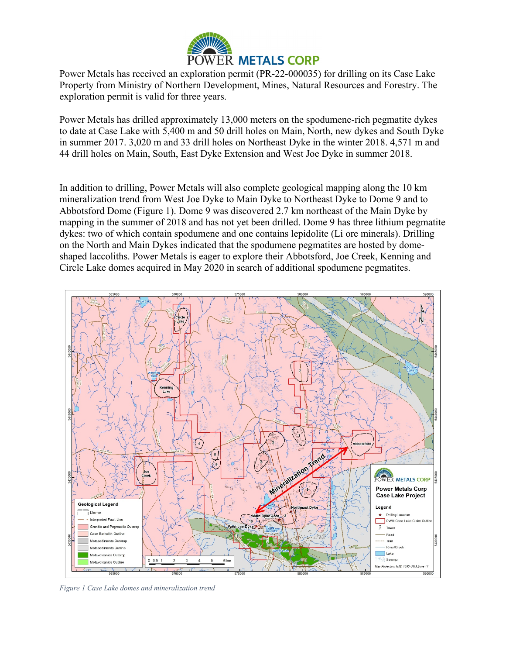

Power Metals has received an exploration permit (PR-22-000035) for drilling on its Case Lake Property from Ministry of Northern Development, Mines, Natural Resources and Forestry. The exploration permit is valid for three years.

Power Metals has drilled approximately 13,000 meters on the spodumene-rich pegmatite dykes to date at Case Lake with 5,400 m and 50 drill holes on Main, North, new dykes and South Dyke in summer 2017. 3,020 m and 33 drill holes on Northeast Dyke in the winter 2018. 4,571 m and 44 drill holes on Main, South, East Dyke Extension and West Joe Dyke in summer 2018.

In addition to drilling, Power Metals will also complete geological mapping along the 10 km mineralization trend from West Joe Dyke to Main Dyke to Northeast Dyke to Dome 9 and to Abbotsford Dome (Figure 1). Dome 9 was discovered 2.7 km northeast of the Main Dyke by mapping in the summer of 2018 and has not yet been drilled. Dome 9 has three lithium pegmatite dykes: two of which contain spodumene and one contains lepidolite (Li ore minerals). Drilling on the North and Main Dykes indicated that the spodumene pegmatites are hosted by domeshaped laccoliths. Power Metals is eager to explore their Abbotsford, Joe Creek, Kenning and Circle Lake domes acquired in May 2020 in search of additional spodumene pegmatites.



*Figure 1 Case Lake domes and mineralization trend*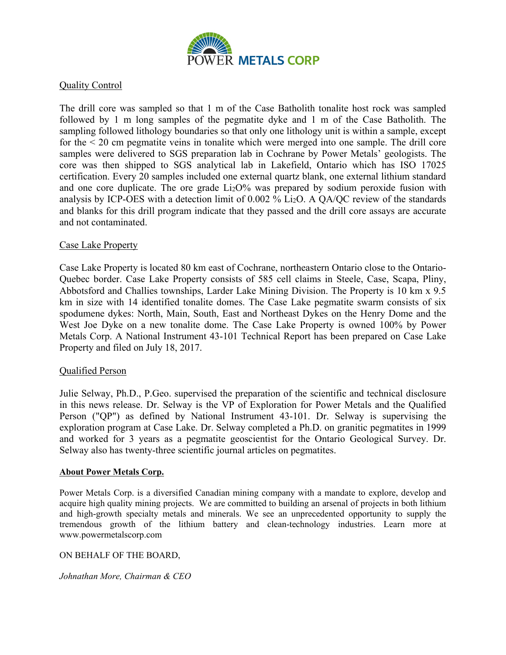

## Quality Control

The drill core was sampled so that 1 m of the Case Batholith tonalite host rock was sampled followed by 1 m long samples of the pegmatite dyke and 1 m of the Case Batholith. The sampling followed lithology boundaries so that only one lithology unit is within a sample, except for the < 20 cm pegmatite veins in tonalite which were merged into one sample. The drill core samples were delivered to SGS preparation lab in Cochrane by Power Metals' geologists. The core was then shipped to SGS analytical lab in Lakefield, Ontario which has ISO 17025 certification. Every 20 samples included one external quartz blank, one external lithium standard and one core duplicate. The ore grade  $Li<sub>2</sub>O$ % was prepared by sodium peroxide fusion with analysis by ICP-OES with a detection limit of 0.002 % Li2O. A QA/QC review of the standards and blanks for this drill program indicate that they passed and the drill core assays are accurate and not contaminated.

## Case Lake Property

Case Lake Property is located 80 km east of Cochrane, northeastern Ontario close to the Ontario-Quebec border. Case Lake Property consists of 585 cell claims in Steele, Case, Scapa, Pliny, Abbotsford and Challies townships, Larder Lake Mining Division. The Property is 10 km x 9.5 km in size with 14 identified tonalite domes. The Case Lake pegmatite swarm consists of six spodumene dykes: North, Main, South, East and Northeast Dykes on the Henry Dome and the West Joe Dyke on a new tonalite dome. The Case Lake Property is owned 100% by Power Metals Corp. A National Instrument 43-101 Technical Report has been prepared on Case Lake Property and filed on July 18, 2017.

### Qualified Person

Julie Selway, Ph.D., P.Geo. supervised the preparation of the scientific and technical disclosure in this news release. Dr. Selway is the VP of Exploration for Power Metals and the Qualified Person ("QP") as defined by National Instrument 43-101. Dr. Selway is supervising the exploration program at Case Lake. Dr. Selway completed a Ph.D. on granitic pegmatites in 1999 and worked for 3 years as a pegmatite geoscientist for the Ontario Geological Survey. Dr. Selway also has twenty-three scientific journal articles on pegmatites.

#### **About Power Metals Corp.**

Power Metals Corp. is a diversified Canadian mining company with a mandate to explore, develop and acquire high quality mining projects. We are committed to building an arsenal of projects in both lithium and high-growth specialty metals and minerals. We see an unprecedented opportunity to supply the tremendous growth of the lithium battery and clean-technology industries. Learn more at www.powermetalscorp.com

### ON BEHALF OF THE BOARD,

*Johnathan More, Chairman & CEO*